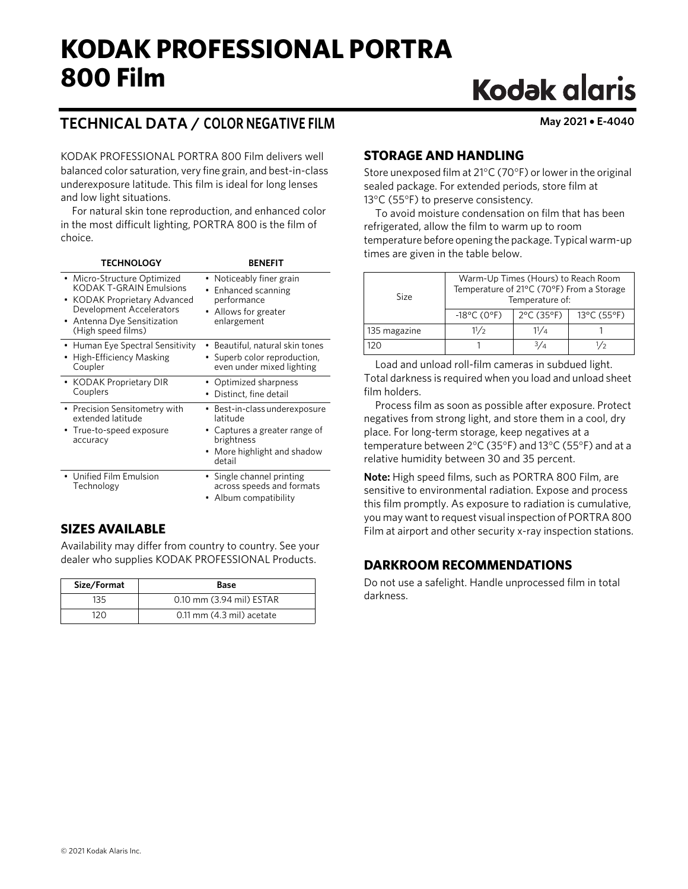## **KODAK PROFESSIONAL PORTRA 800 Film**

# **Kodak glaris**

## **TECHNICAL DATA / COLOR NEGATIVE FILM May 2021** • **E-4040**

KODAK PROFESSIONAL PORTRA 800 Film delivers well balanced color saturation, very fine grain, and best-in-class underexposure latitude. This film is ideal for long lenses and low light situations.

For natural skin tone reproduction, and enhanced color in the most difficult lighting, PORTRA 800 is the film of choice.

| <b>TECHNOLOGY</b>                                                                                                                                                              | <b>RENFFIT</b>                                                                                                                    |
|--------------------------------------------------------------------------------------------------------------------------------------------------------------------------------|-----------------------------------------------------------------------------------------------------------------------------------|
| • Micro-Structure Optimized<br><b>KODAK T-GRAIN Emulsions</b><br>• KODAK Proprietary Advanced<br>Development Accelerators<br>• Antenna Dye Sensitization<br>(High speed films) | • Noticeably finer grain<br>Enhanced scanning<br>performance<br>• Allows for greater<br>enlargement                               |
| • Human Eye Spectral Sensitivity<br>High-Efficiency Masking<br>Coupler                                                                                                         | Beautiful, natural skin tones<br>• Superb color reproduction,<br>even under mixed lighting                                        |
| • KODAK Proprietary DIR<br>Couplers                                                                                                                                            | • Optimized sharpness<br>Distinct, fine detail                                                                                    |
| • Precision Sensitometry with<br>extended latitude<br>True-to-speed exposure<br>accuracy                                                                                       | • Best-in-class underexposure<br>latitude<br>• Captures a greater range of<br>brightness<br>• More highlight and shadow<br>detail |
| • Unified Film Emulsion<br>Technology                                                                                                                                          | • Single channel printing<br>across speeds and formats<br>Album compatibility                                                     |

## **SIZES AVAILABLE**

Availability may differ from country to country. See your dealer who supplies KODAK PROFESSIONAL Products.

| Size/Format | Base                      |
|-------------|---------------------------|
| 135         | 0.10 mm (3.94 mil) ESTAR  |
| 120         | 0.11 mm (4.3 mil) acetate |

## **STORAGE AND HANDLING**

Store unexposed film at 21°C (70°F) or lower in the original sealed package. For extended periods, store film at 13°C (55°F) to preserve consistency.

To avoid moisture condensation on film that has been refrigerated, allow the film to warm up to room temperature before opening the package. Typical warm-up times are given in the table below.

| Size         | Warm-Up Times (Hours) to Reach Room<br>Temperature of 21°C (70°F) From a Storage<br>Temperature of: |                                 |             |  |
|--------------|-----------------------------------------------------------------------------------------------------|---------------------------------|-------------|--|
|              | $-18^{\circ}$ C (0°F)                                                                               | $2^{\circ}$ C (35 $^{\circ}$ F) | 13°C (55°F) |  |
| 135 magazine | 11/2                                                                                                | 11/a                            |             |  |
| 12N          |                                                                                                     |                                 | /2          |  |

Load and unload roll-film cameras in subdued light. Total darkness is required when you load and unload sheet film holders.

Process film as soon as possible after exposure. Protect negatives from strong light, and store them in a cool, dry place. For long-term storage, keep negatives at a temperature between 2°C (35°F) and 13°C (55°F) and at a relative humidity between 30 and 35 percent.

**Note:** High speed films, such as PORTRA 800 Film, are sensitive to environmental radiation. Expose and process this film promptly. As exposure to radiation is cumulative, you may want to request visual inspection of PORTRA 800 Film at airport and other security x-ray inspection stations.

## **DARKROOM RECOMMENDATIONS**

Do not use a safelight. Handle unprocessed film in total darkness.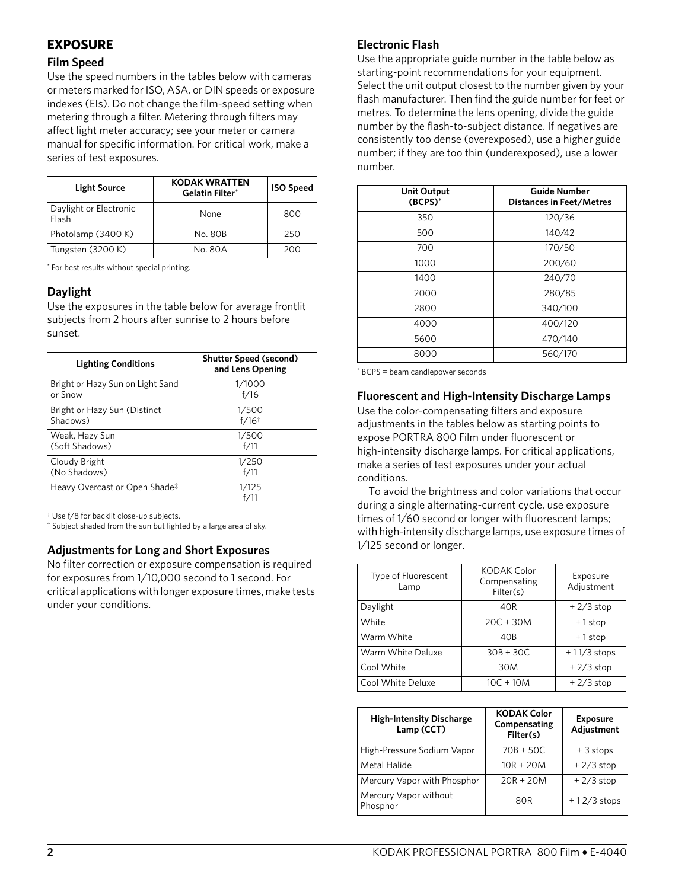## **EXPOSURE**

#### **Film Speed**

Use the speed numbers in the tables below with cameras or meters marked for ISO, ASA, or DIN speeds or exposure indexes (EIs). Do not change the film-speed setting when metering through a filter. Metering through filters may affect light meter accuracy; see your meter or camera manual for specific information. For critical work, make a series of test exposures.

| <b>Light Source</b>             | <b>KODAK WRATTEN</b><br><b>Gelatin Filter*</b> | <b>ISO Speed</b> |
|---------------------------------|------------------------------------------------|------------------|
| Daylight or Electronic<br>Flash | None                                           | 800              |
| Photolamp (3400 K)              | No. 80B                                        | 250              |
| Tungsten (3200 K)               | No. 80A                                        | 200              |

<span id="page-1-3"></span>\* For best results without special printing.

#### **Daylight**

Use the exposures in the table below for average frontlit subjects from 2 hours after sunrise to 2 hours before sunset.

| <b>Lighting Conditions</b>                | <b>Shutter Speed (second)</b><br>and Lens Opening |
|-------------------------------------------|---------------------------------------------------|
| Bright or Hazy Sun on Light Sand          | 1/1000                                            |
| or Snow                                   | f/16                                              |
| Bright or Hazy Sun (Distinct              | 1/500                                             |
| Shadows)                                  | $f/16$ <sup>†</sup>                               |
| Weak, Hazy Sun                            | 1/500                                             |
| (Soft Shadows)                            | f/11                                              |
| Cloudy Bright                             | 1/250                                             |
| (No Shadows)                              | f/11                                              |
| Heavy Overcast or Open Shade <sup>#</sup> | 1/125                                             |

<span id="page-1-0"></span>† Use f/8 for backlit close-up subjects.

<span id="page-1-1"></span>‡ Subject shaded from the sun but lighted by a large area of sky.

#### **Adjustments for Long and Short Exposures**

No filter correction or exposure compensation is required for exposures from 1⁄10,000 second to 1 second. For critical applications with longer exposure times, make tests under your conditions.

#### **Electronic Flash**

Use the appropriate guide number in the table below as starting-point recommendations for your equipment. Select the unit output closest to the number given by your flash manufacturer. Then find the guide number for feet or metres. To determine the lens opening, divide the guide number by the flash-to-subject distance. If negatives are consistently too dense (overexposed), use a higher guide number; if they are too thin (underexposed), use a lower number.

| <b>Unit Output</b><br>$(BCPS)^*$ | <b>Guide Number</b><br>Distances in Feet/Metres |  |
|----------------------------------|-------------------------------------------------|--|
| 350                              | 120/36                                          |  |
| 500                              | 140/42                                          |  |
| 700                              | 170/50                                          |  |
| 1000                             | 200/60                                          |  |
| 1400                             | 240/70                                          |  |
| 2000                             | 280/85                                          |  |
| 2800                             | 340/100                                         |  |
| 4000                             | 400/120                                         |  |
| 5600                             | 470/140                                         |  |
| 8000                             | 560/170                                         |  |

<span id="page-1-2"></span>\* BCPS = beam candlepower seconds

#### **Fluorescent and High-Intensity Discharge Lamps**

Use the color-compensating filters and exposure adjustments in the tables below as starting points to expose PORTRA 800 Film under fluorescent or high-intensity discharge lamps. For critical applications, make a series of test exposures under your actual conditions.

To avoid the brightness and color variations that occur during a single alternating-current cycle, use exposure times of 1⁄60 second or longer with fluorescent lamps; with high-intensity discharge lamps, use exposure times of 1⁄125 second or longer.

| Type of Fluorescent<br>Lamp | <b>KODAK Color</b><br>Compensating<br>Filter(s) | Exposure<br>Adjustment |
|-----------------------------|-------------------------------------------------|------------------------|
| Daylight                    | 40R                                             | $+2/3$ stop            |
| White                       | $20C + 30M$                                     | $+1$ stop              |
| Warm White                  | 40B                                             | +1stop                 |
| Warm White Deluxe           | $30B + 30C$                                     | $+11/3$ stops          |
| Cool White                  | 30M                                             | $+2/3$ stop            |
| Cool White Deluxe           | $10C + 10M$                                     | $+2/3$ stop            |

| <b>High-Intensity Discharge</b><br>Lamp (CCT) | <b>KODAK Color</b><br>Compensating<br>Filter(s) | <b>Exposure</b><br>Adjustment |
|-----------------------------------------------|-------------------------------------------------|-------------------------------|
| High-Pressure Sodium Vapor                    | $70B + 50C$                                     | $+3$ stops                    |
| Metal Halide                                  | $10R + 20M$                                     | $+2/3$ stop                   |
| Mercury Vapor with Phosphor                   | $20R + 20M$                                     | $+2/3$ stop                   |
| Mercury Vapor without<br>Phosphor             | 80R                                             | $+12/3$ stops                 |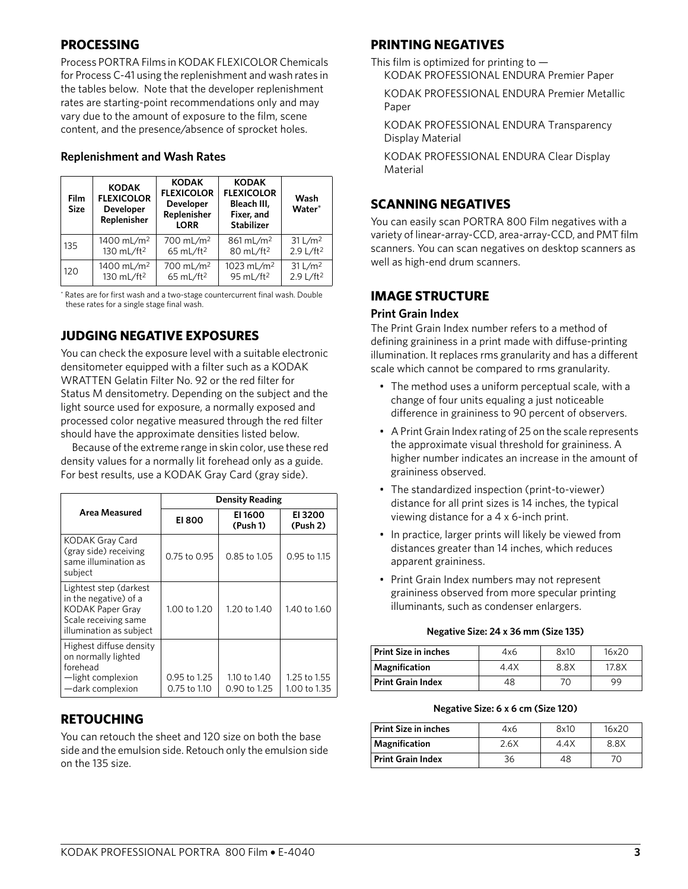## **PROCESSING**

Process PORTRA Films in KODAK FLEXICOLOR Chemicals for Process C-41 using the replenishment and wash rates in the tables below. Note that the developer replenishment rates are starting-point recommendations only and may vary due to the amount of exposure to the film, scene content, and the presence/absence of sprocket holes.

### **Replenishment and Wash Rates**

| <b>Film</b><br><b>Size</b> | <b>KODAK</b><br><b>FLEXICOLOR</b><br><b>Developer</b><br>Replenisher | <b>KODAK</b><br><b>FLEXICOLOR</b><br><b>Developer</b><br>Replenisher<br><b>LORR</b> | <b>KODAK</b><br><b>FLEXICOLOR</b><br>Bleach III.<br>Fixer, and<br><b>Stabilizer</b> | Wash<br>Water*        |
|----------------------------|----------------------------------------------------------------------|-------------------------------------------------------------------------------------|-------------------------------------------------------------------------------------|-----------------------|
| 135                        | 1400 mL/m <sup>2</sup>                                               | 700 mL/m <sup>2</sup>                                                               | 861 mL/m <sup>2</sup>                                                               | 31 L/m <sup>2</sup>   |
|                            | 130 mL/ft <sup>2</sup>                                               | 65 mL/ft <sup>2</sup>                                                               | 80 mL/ft <sup>2</sup>                                                               | 2.9 L/ft <sup>2</sup> |
| 120                        | 1400 mL/m <sup>2</sup>                                               | 700 mL/m <sup>2</sup>                                                               | 1023 mL/m <sup>2</sup>                                                              | 31 L/m <sup>2</sup>   |
|                            | 130 mL/ft <sup>2</sup>                                               | 65 mL/ft <sup>2</sup>                                                               | 95 mL/ft <sup>2</sup>                                                               | 2.9 L/ft <sup>2</sup> |

<span id="page-2-0"></span>\* Rates are for first wash and a two-stage countercurrent final wash. Double these rates for a single stage final wash.

## **JUDGING NEGATIVE EXPOSURES**

You can check the exposure level with a suitable electronic densitometer equipped with a filter such as a KODAK WRATTEN Gelatin Filter No. 92 or the red filter for Status M densitometry. Depending on the subject and the light source used for exposure, a normally exposed and processed color negative measured through the red filter should have the approximate densities listed below.

Because of the extreme range in skin color, use these red density values for a normally lit forehead only as a guide. For best results, use a KODAK Gray Card (gray side).

|                                                                                                                               | <b>Density Reading</b>       |                              |                              |  |
|-------------------------------------------------------------------------------------------------------------------------------|------------------------------|------------------------------|------------------------------|--|
| Area Measured                                                                                                                 | <b>EI 800</b>                | EI 1600<br>(Push 1)          | EI 3200<br>(Push 2)          |  |
| <b>KODAK Gray Card</b><br>(gray side) receiving<br>same illumination as<br>subject                                            | 0.75 to 0.95                 | $0.85$ to $1.05$             | $0.95$ to $1.15$             |  |
| Lightest step (darkest<br>in the negative) of a<br><b>KODAK Paper Gray</b><br>Scale receiving same<br>illumination as subject | 1.00 to 1.20                 | 1.20 to 1.40                 | 1.40 to 1.60                 |  |
| Highest diffuse density<br>on normally lighted<br>forehead<br>-light complexion<br>-dark complexion                           | 0.95 to 1.25<br>0.75 to 1.10 | 1.10 to 1.40<br>0.90 to 1.25 | 1.25 to 1.55<br>1.00 to 1.35 |  |

## **RETOUCHING**

You can retouch the sheet and 120 size on both the base side and the emulsion side. Retouch only the emulsion side on the 135 size.

## **PRINTING NEGATIVES**

This film is optimized for printing to  $-$ KODAK PROFESSIONAL ENDURA Premier Paper

KODAK PROFESSIONAL ENDURA Premier Metallic Paper

KODAK PROFESSIONAL ENDURA Transparency Display Material

KODAK PROFESSIONAL ENDURA Clear Display Material

## **SCANNING NEGATIVES**

You can easily scan PORTRA 800 Film negatives with a variety of linear-array-CCD, area-array-CCD, and PMT film scanners. You can scan negatives on desktop scanners as well as high-end drum scanners.

## **IMAGE STRUCTURE**

#### **Print Grain Index**

The Print Grain Index number refers to a method of defining graininess in a print made with diffuse-printing illumination. It replaces rms granularity and has a different scale which cannot be compared to rms granularity.

- The method uses a uniform perceptual scale, with a change of four units equaling a just noticeable difference in graininess to 90 percent of observers.
- A Print Grain Index rating of 25 on the scale represents the approximate visual threshold for graininess. A higher number indicates an increase in the amount of graininess observed.
- The standardized inspection (print-to-viewer) distance for all print sizes is 14 inches, the typical viewing distance for a 4 x 6-inch print.
- In practice, larger prints will likely be viewed from distances greater than 14 inches, which reduces apparent graininess.
- Print Grain Index numbers may not represent graininess observed from more specular printing illuminants, such as condenser enlargers.

#### **Negative Size: 24 x 36 mm (Size 135)**

| <b>Print Size in inches</b> | 4x6  | 8x10 | 16x20 |
|-----------------------------|------|------|-------|
| Magnification               | 4.4X | 8.8X | 17.8X |
| <b>Print Grain Index</b>    | 48   | 70   | 99    |

#### **Negative Size: 6 x 6 cm (Size 120)**

| <b>Print Size in inches</b> | 4x6  | 8x10 | 16x20 |
|-----------------------------|------|------|-------|
| Magnification               | 2.6X | 4.4X | 8.8X  |
| <b>Print Grain Index</b>    | 36   | 48   |       |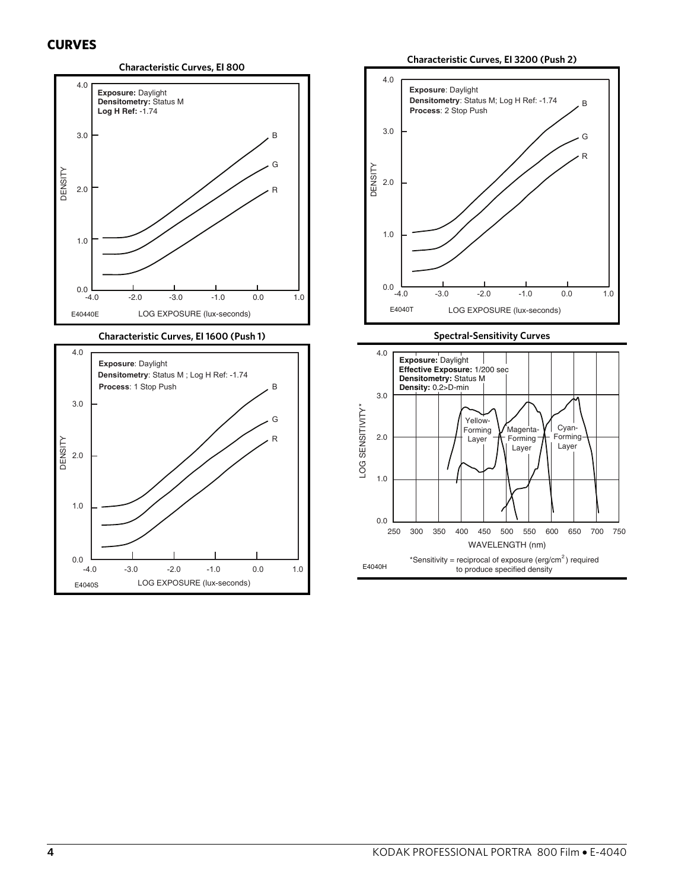#### **CURVES**





#### **Characteristic Curves, EI 3200 (Push 2)**